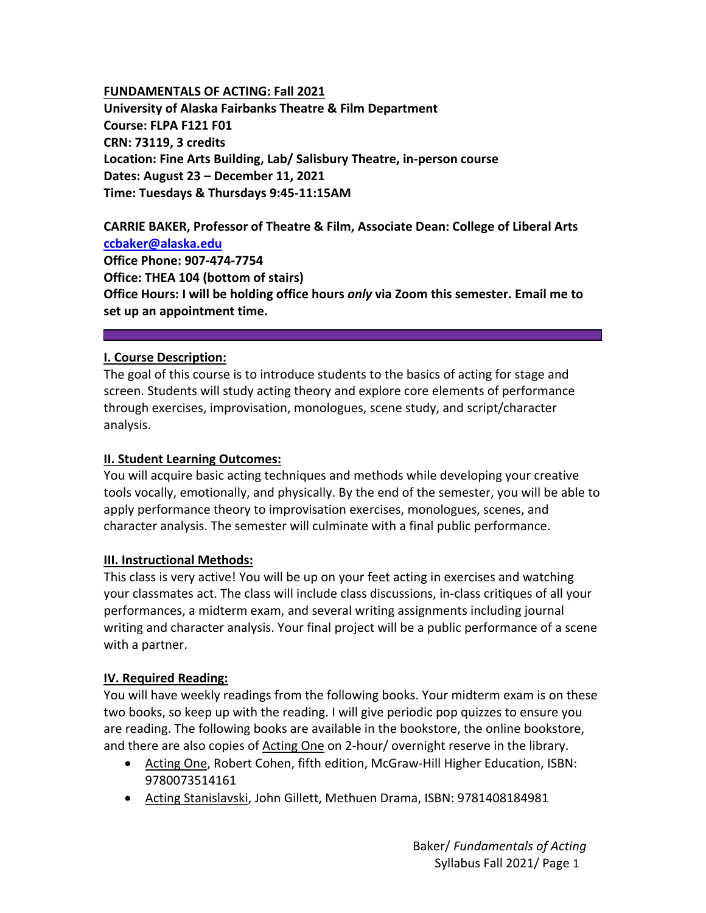### **FUNDAMENTALS OF ACTING: Fall 2021**

**University of Alaska Fairbanks Theatre & Film Department Course: FLPA F121 F01 CRN: 73119, 3 credits Location: Fine Arts Building, Lab/ Salisbury Theatre, in‐person course Dates: August 23 – December 11, 2021 Time: Tuesdays & Thursdays 9:45‐11:15AM** 

**CARRIE BAKER, Professor of Theatre & Film, Associate Dean: College of Liberal Arts ccbaker@alaska.edu Office Phone: 907‐474‐7754 Office: THEA 104 (bottom of stairs) Office Hours: I will be holding office hours** *only* **via Zoom this semester. Email me to set up an appointment time.** 

### **I. Course Description:**

The goal of this course is to introduce students to the basics of acting for stage and screen. Students will study acting theory and explore core elements of performance through exercises, improvisation, monologues, scene study, and script/character analysis.

### **II. Student Learning Outcomes:**

You will acquire basic acting techniques and methods while developing your creative tools vocally, emotionally, and physically. By the end of the semester, you will be able to apply performance theory to improvisation exercises, monologues, scenes, and character analysis. The semester will culminate with a final public performance.

#### **III. Instructional Methods:**

This class is very active! You will be up on your feet acting in exercises and watching your classmates act. The class will include class discussions, in‐class critiques of all your performances, a midterm exam, and several writing assignments including journal writing and character analysis. Your final project will be a public performance of a scene with a partner.

### **IV. Required Reading:**

You will have weekly readings from the following books. Your midterm exam is on these two books, so keep up with the reading. I will give periodic pop quizzes to ensure you are reading. The following books are available in the bookstore, the online bookstore, and there are also copies of Acting One on 2-hour/ overnight reserve in the library.

- Acting One, Robert Cohen, fifth edition, McGraw-Hill Higher Education, ISBN: 9780073514161
- Acting Stanislavski, John Gillett, Methuen Drama, ISBN: 9781408184981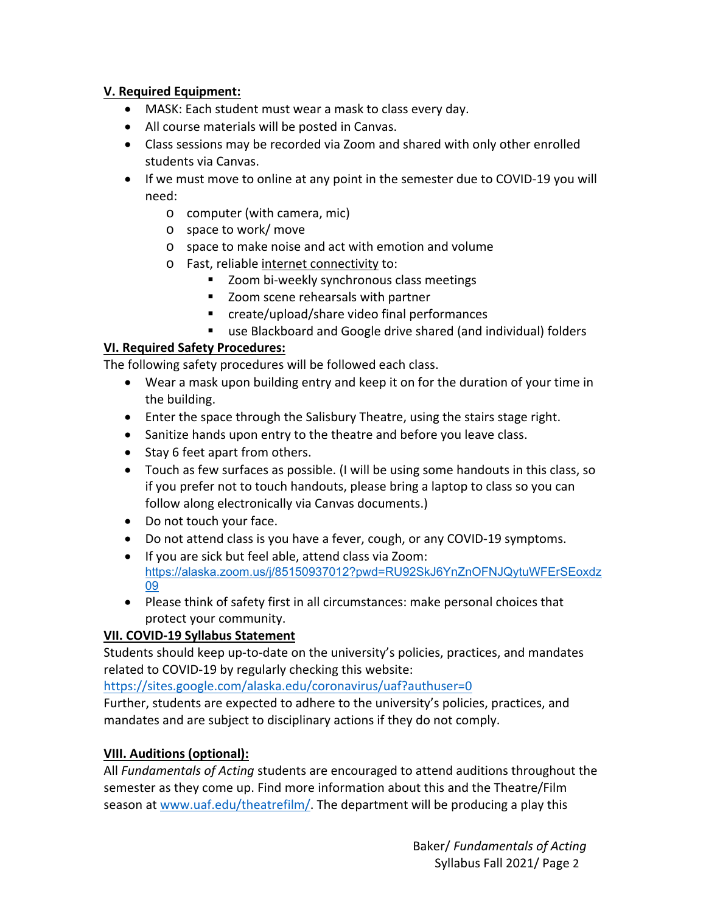## **V. Required Equipment:**

- MASK: Each student must wear a mask to class every day.
- All course materials will be posted in Canvas.
- Class sessions may be recorded via Zoom and shared with only other enrolled students via Canvas.
- If we must move to online at any point in the semester due to COVID-19 you will need:
	- o computer (with camera, mic)
	- o space to work/ move
	- o space to make noise and act with emotion and volume
	- o Fast, reliable internet connectivity to:
		- Zoom bi-weekly synchronous class meetings
		- Zoom scene rehearsals with partner
		- create/upload/share video final performances
		- use Blackboard and Google drive shared (and individual) folders

## **VI. Required Safety Procedures:**

The following safety procedures will be followed each class.

- Wear a mask upon building entry and keep it on for the duration of your time in the building.
- Enter the space through the Salisbury Theatre, using the stairs stage right.
- Sanitize hands upon entry to the theatre and before you leave class.
- Stay 6 feet apart from others.
- Touch as few surfaces as possible. (I will be using some handouts in this class, so if you prefer not to touch handouts, please bring a laptop to class so you can follow along electronically via Canvas documents.)
- Do not touch your face.
- Do not attend class is you have a fever, cough, or any COVID‐19 symptoms.
- If you are sick but feel able, attend class via Zoom: https://alaska.zoom.us/j/85150937012?pwd=RU92SkJ6YnZnOFNJQytuWFErSEoxdz 09
- Please think of safety first in all circumstances: make personal choices that protect your community.

## **VII. COVID‐19 Syllabus Statement**

Students should keep up-to-date on the university's policies, practices, and mandates related to COVID‐19 by regularly checking this website:

https://sites.google.com/alaska.edu/coronavirus/uaf?authuser=0

Further, students are expected to adhere to the university's policies, practices, and mandates and are subject to disciplinary actions if they do not comply.

### **VIII. Auditions (optional):**

All *Fundamentals of Acting* students are encouraged to attend auditions throughout the semester as they come up. Find more information about this and the Theatre/Film season at www.uaf.edu/theatrefilm/. The department will be producing a play this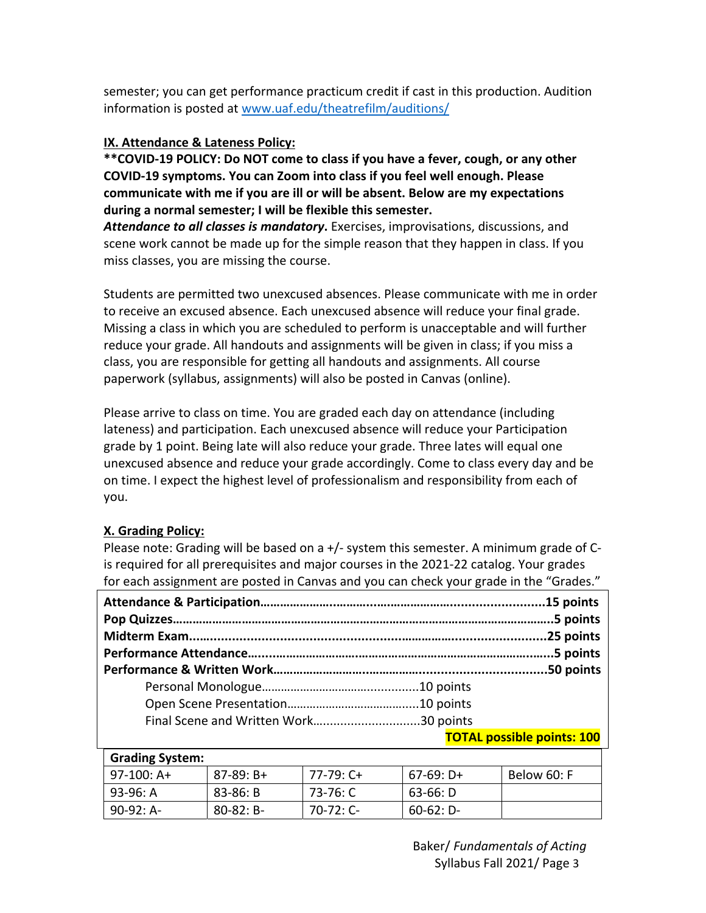semester; you can get performance practicum credit if cast in this production. Audition information is posted at www.uaf.edu/theatrefilm/auditions/

## **IX. Attendance & Lateness Policy:**

**\*\*COVID‐19 POLICY: Do NOT come to class if you have a fever, cough, or any other COVID‐19 symptoms. You can Zoom into class if you feel well enough. Please communicate with me if you are ill or will be absent. Below are my expectations during a normal semester; I will be flexible this semester.** 

*Attendance to all classes is mandatory***.** Exercises, improvisations, discussions, and scene work cannot be made up for the simple reason that they happen in class. If you miss classes, you are missing the course.

Students are permitted two unexcused absences. Please communicate with me in order to receive an excused absence. Each unexcused absence will reduce your final grade. Missing a class in which you are scheduled to perform is unacceptable and will further reduce your grade. All handouts and assignments will be given in class; if you miss a class, you are responsible for getting all handouts and assignments. All course paperwork (syllabus, assignments) will also be posted in Canvas (online).

Please arrive to class on time. You are graded each day on attendance (including lateness) and participation. Each unexcused absence will reduce your Participation grade by 1 point. Being late will also reduce your grade. Three lates will equal one unexcused absence and reduce your grade accordingly. Come to class every day and be on time. I expect the highest level of professionalism and responsibility from each of you.

### **X. Grading Policy:**

Please note: Grading will be based on a +/‐ system this semester. A minimum grade of C‐ is required for all prerequisites and major courses in the 2021‐22 catalog. Your grades for each assignment are posted in Canvas and you can check your grade in the "Grades."

| <b>TOTAL possible points: 100</b> |  |
|-----------------------------------|--|

| <b>Grading System:</b> |                |             |             |             |  |  |
|------------------------|----------------|-------------|-------------|-------------|--|--|
| l 97-100: A+           | $87-89: B+$    | 77-79: C+   | $67-69: D+$ | Below 60: F |  |  |
| 93-96: A               | $83 - 86: B$   | 73-76: C    | $63-66: D$  |             |  |  |
| 90-92: A-              | $80 - 82: B -$ | $70-72:$ C- | $60-62: D-$ |             |  |  |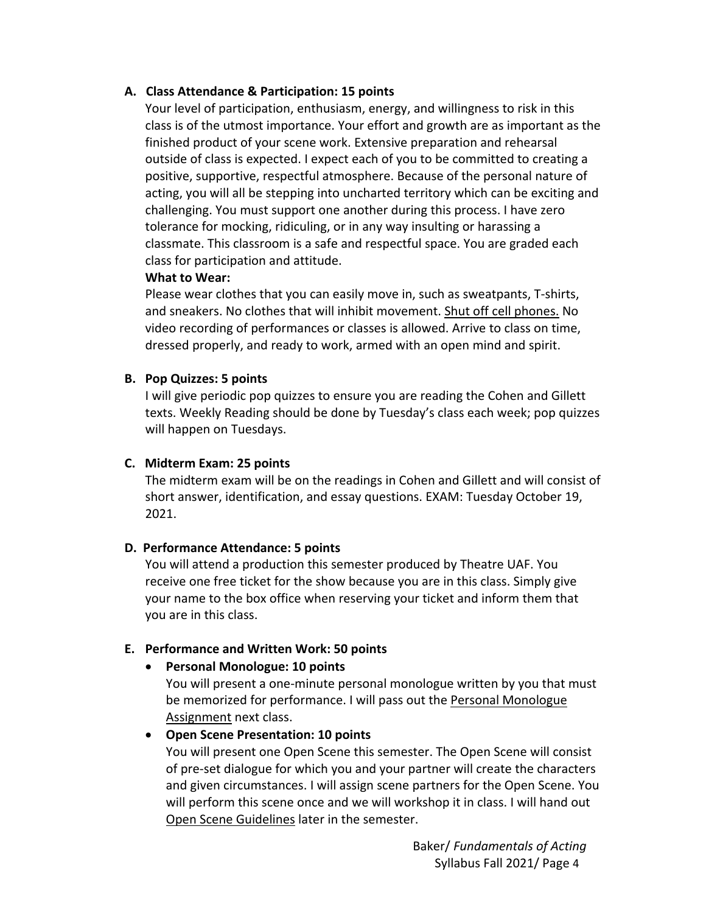### **A. Class Attendance & Participation: 15 points**

Your level of participation, enthusiasm, energy, and willingness to risk in this class is of the utmost importance. Your effort and growth are as important as the finished product of your scene work. Extensive preparation and rehearsal outside of class is expected. I expect each of you to be committed to creating a positive, supportive, respectful atmosphere. Because of the personal nature of acting, you will all be stepping into uncharted territory which can be exciting and challenging. You must support one another during this process. I have zero tolerance for mocking, ridiculing, or in any way insulting or harassing a classmate. This classroom is a safe and respectful space. You are graded each class for participation and attitude.

#### **What to Wear:**

Please wear clothes that you can easily move in, such as sweatpants, T‐shirts, and sneakers. No clothes that will inhibit movement. Shut off cell phones. No video recording of performances or classes is allowed. Arrive to class on time, dressed properly, and ready to work, armed with an open mind and spirit.

### **B. Pop Quizzes: 5 points**

I will give periodic pop quizzes to ensure you are reading the Cohen and Gillett texts. Weekly Reading should be done by Tuesday's class each week; pop quizzes will happen on Tuesdays.

### **C. Midterm Exam: 25 points**

The midterm exam will be on the readings in Cohen and Gillett and will consist of short answer, identification, and essay questions. EXAM: Tuesday October 19, 2021.

#### **D. Performance Attendance: 5 points**

You will attend a production this semester produced by Theatre UAF. You receive one free ticket for the show because you are in this class. Simply give your name to the box office when reserving your ticket and inform them that you are in this class.

#### **E. Performance and Written Work: 50 points**

#### **Personal Monologue: 10 points**

You will present a one-minute personal monologue written by you that must be memorized for performance. I will pass out the Personal Monologue Assignment next class.

#### **Open Scene Presentation: 10 points**

You will present one Open Scene this semester. The Open Scene will consist of pre‐set dialogue for which you and your partner will create the characters and given circumstances. I will assign scene partners for the Open Scene. You will perform this scene once and we will workshop it in class. I will hand out Open Scene Guidelines later in the semester.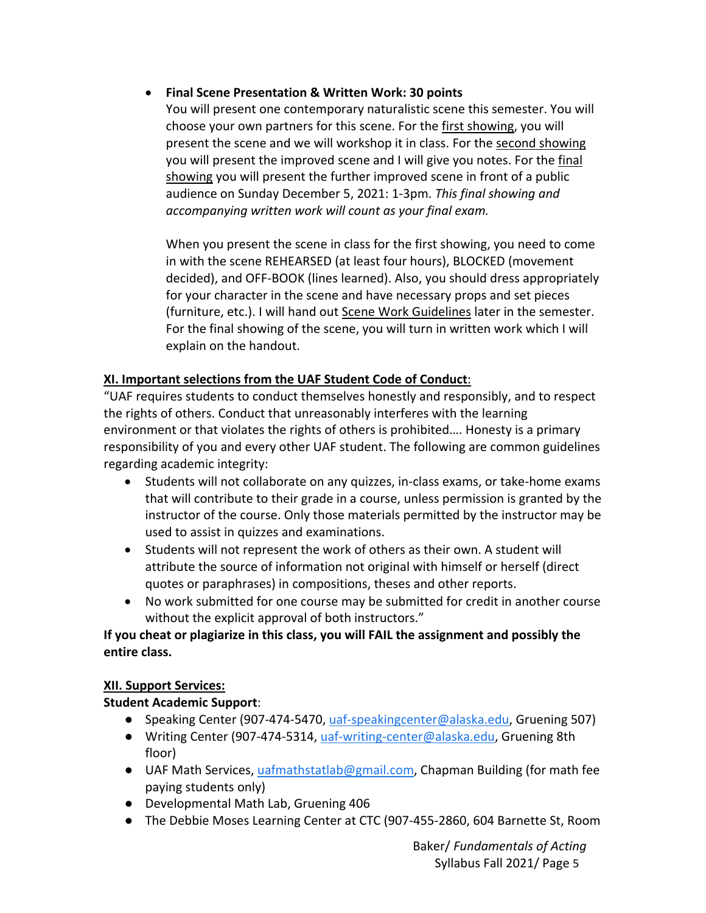## **Final Scene Presentation & Written Work: 30 points**

You will present one contemporary naturalistic scene this semester. You will choose your own partners for this scene. For the first showing, you will present the scene and we will workshop it in class. For the second showing you will present the improved scene and I will give you notes. For the final showing you will present the further improved scene in front of a public audience on Sunday December 5, 2021: 1‐3pm. *This final showing and accompanying written work will count as your final exam.* 

When you present the scene in class for the first showing, you need to come in with the scene REHEARSED (at least four hours), BLOCKED (movement decided), and OFF‐BOOK (lines learned). Also, you should dress appropriately for your character in the scene and have necessary props and set pieces (furniture, etc.). I will hand out Scene Work Guidelines later in the semester. For the final showing of the scene, you will turn in written work which I will explain on the handout.

## **XI. Important selections from the UAF Student Code of Conduct**:

"UAF requires students to conduct themselves honestly and responsibly, and to respect the rights of others. Conduct that unreasonably interferes with the learning environment or that violates the rights of others is prohibited…. Honesty is a primary responsibility of you and every other UAF student. The following are common guidelines regarding academic integrity:

- Students will not collaborate on any quizzes, in-class exams, or take-home exams that will contribute to their grade in a course, unless permission is granted by the instructor of the course. Only those materials permitted by the instructor may be used to assist in quizzes and examinations.
- Students will not represent the work of others as their own. A student will attribute the source of information not original with himself or herself (direct quotes or paraphrases) in compositions, theses and other reports.
- No work submitted for one course may be submitted for credit in another course without the explicit approval of both instructors."

## **If you cheat or plagiarize in this class, you will FAIL the assignment and possibly the entire class.**

### **XII. Support Services:**

## **Student Academic Support**:

- Speaking Center (907-474-5470, uaf-speakingcenter@alaska.edu, Gruening 507)
- Writing Center (907-474-5314, uaf-writing-center@alaska.edu, Gruening 8th floor)
- UAF Math Services, uafmathstatlab@gmail.com, Chapman Building (for math fee paying students only)
- Developmental Math Lab, Gruening 406
- The Debbie Moses Learning Center at CTC (907‐455‐2860, 604 Barnette St, Room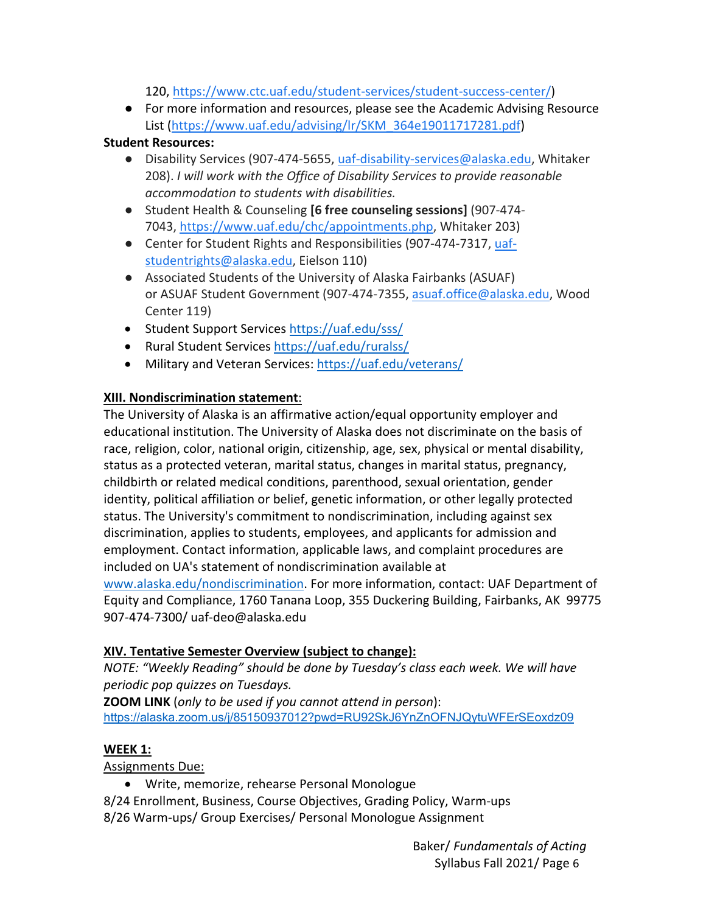120, https://www.ctc.uaf.edu/student‐services/student‐success‐center/)

● For more information and resources, please see the Academic Advising Resource List (https://www.uaf.edu/advising/lr/SKM\_364e19011717281.pdf)

## **Student Resources:**

- Disability Services (907-474-5655, uaf-disability-services@alaska.edu, Whitaker 208). *I will work with the Office of Disability Services to provide reasonable accommodation to students with disabilities.*
- Student Health & Counseling **[6 free counseling sessions]** (907‐474‐ 7043, https://www.uaf.edu/chc/appointments.php, Whitaker 203)
- Center for Student Rights and Responsibilities (907-474-7317, uafstudentrights@alaska.edu, Eielson 110)
- Associated Students of the University of Alaska Fairbanks (ASUAF) or ASUAF Student Government (907‐474‐7355, asuaf.office@alaska.edu, Wood Center 119)
- Student Support Services https://uaf.edu/sss/
- Rural Student Services https://uaf.edu/ruralss/
- Military and Veteran Services: https://uaf.edu/veterans/

# **XIII. Nondiscrimination statement**:

The University of Alaska is an affirmative action/equal opportunity employer and educational institution. The University of Alaska does not discriminate on the basis of race, religion, color, national origin, citizenship, age, sex, physical or mental disability, status as a protected veteran, marital status, changes in marital status, pregnancy, childbirth or related medical conditions, parenthood, sexual orientation, gender identity, political affiliation or belief, genetic information, or other legally protected status. The University's commitment to nondiscrimination, including against sex discrimination, applies to students, employees, and applicants for admission and employment. Contact information, applicable laws, and complaint procedures are included on UA's statement of nondiscrimination available at www.alaska.edu/nondiscrimination. For more information, contact: UAF Department of Equity and Compliance, 1760 Tanana Loop, 355 Duckering Building, Fairbanks, AK 99775

907‐474‐7300/ uaf‐deo@alaska.edu

# **XIV. Tentative Semester Overview (subject to change):**

*NOTE: "Weekly Reading" should be done by Tuesday's class each week. We will have periodic pop quizzes on Tuesdays.* 

**ZOOM LINK** (*only to be used if you cannot attend in person*): https://alaska.zoom.us/j/85150937012?pwd=RU92SkJ6YnZnOFNJQytuWFErSEoxdz09

## **WEEK 1:**

Assignments Due:

- Write, memorize, rehearse Personal Monologue
- 8/24 Enrollment, Business, Course Objectives, Grading Policy, Warm‐ups 8/26 Warm‐ups/ Group Exercises/ Personal Monologue Assignment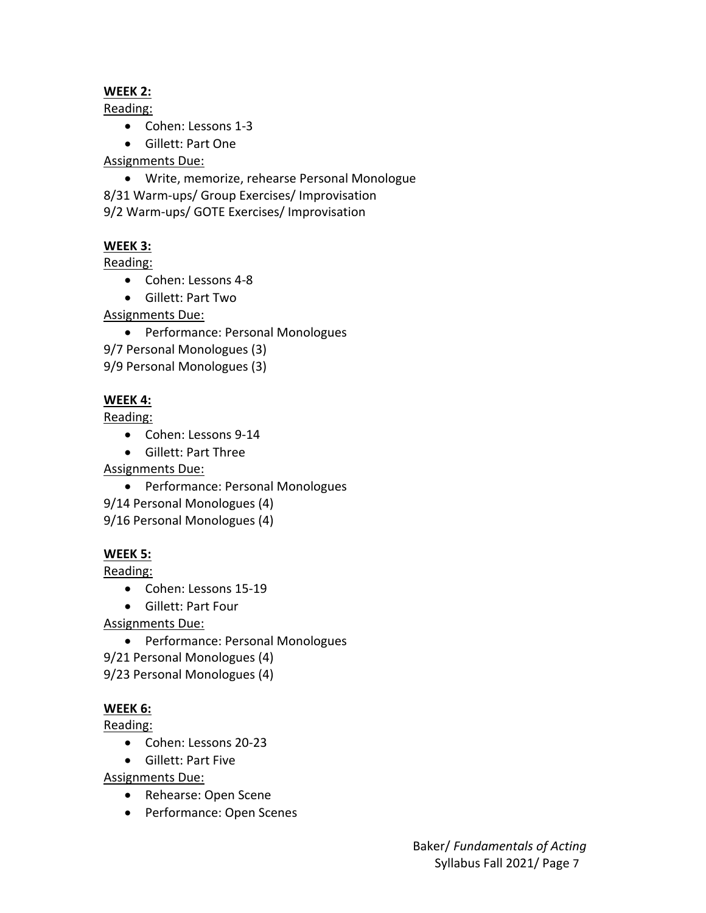## **WEEK 2:**

Reading:

- Cohen: Lessons 1-3
- Gillett: Part One

Assignments Due:

 Write, memorize, rehearse Personal Monologue 8/31 Warm‐ups/ Group Exercises/ Improvisation 9/2 Warm‐ups/ GOTE Exercises/ Improvisation

# **WEEK 3:**

Reading:

- Cohen: Lessons 4-8
- Gillett: Part Two

Assignments Due:

- Performance: Personal Monologues
- 9/7 Personal Monologues (3)

9/9 Personal Monologues (3)

## **WEEK 4:**

Reading:

- Cohen: Lessons 9-14
- Gillett: Part Three

Assignments Due:

- Performance: Personal Monologues
- 9/14 Personal Monologues (4)

9/16 Personal Monologues (4)

## **WEEK 5:**

Reading:

- Cohen: Lessons 15‐19
- Gillett: Part Four

Assignments Due:

- Performance: Personal Monologues
- 9/21 Personal Monologues (4)

9/23 Personal Monologues (4)

## **WEEK 6:**

Reading:

- Cohen: Lessons 20‐23
- Gillett: Part Five

Assignments Due:

- Rehearse: Open Scene
- Performance: Open Scenes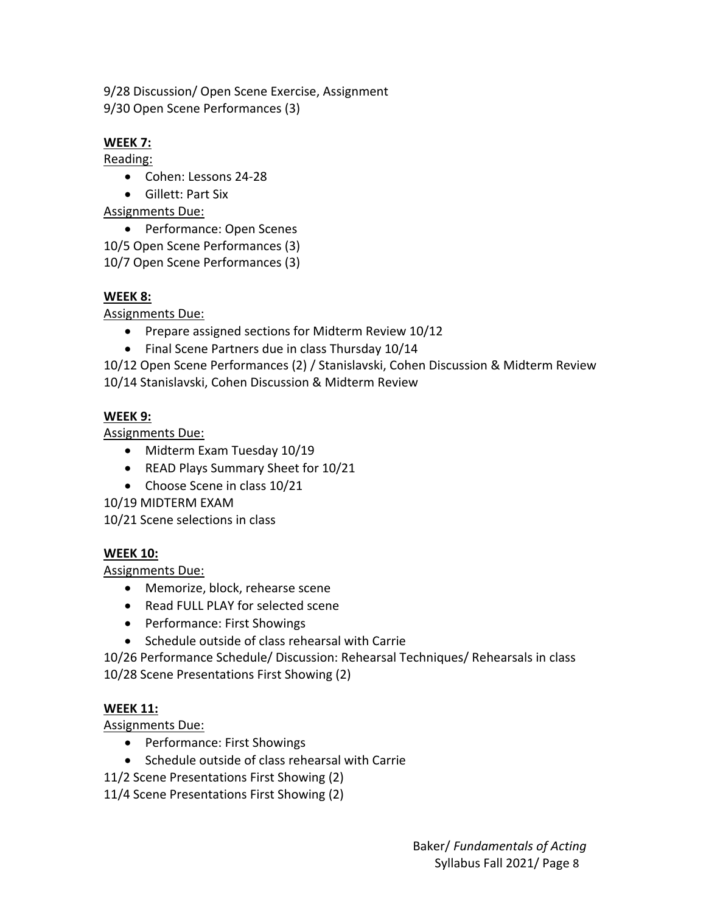9/28 Discussion/ Open Scene Exercise, Assignment 9/30 Open Scene Performances (3)

# **WEEK 7:**

Reading:

- Cohen: Lessons 24-28
- Gillett: Part Six

Assignments Due:

• Performance: Open Scenes

10/5 Open Scene Performances (3)

10/7 Open Scene Performances (3)

# **WEEK 8:**

Assignments Due:

- Prepare assigned sections for Midterm Review 10/12
- Final Scene Partners due in class Thursday 10/14

10/12 Open Scene Performances (2) / Stanislavski, Cohen Discussion & Midterm Review 10/14 Stanislavski, Cohen Discussion & Midterm Review

# **WEEK 9:**

Assignments Due:

- Midterm Exam Tuesday 10/19
- READ Plays Summary Sheet for 10/21
- Choose Scene in class 10/21

10/19 MIDTERM EXAM

10/21 Scene selections in class

# **WEEK 10:**

Assignments Due:

- Memorize, block, rehearse scene
- Read FULL PLAY for selected scene
- Performance: First Showings
- Schedule outside of class rehearsal with Carrie

10/26 Performance Schedule/ Discussion: Rehearsal Techniques/ Rehearsals in class

10/28 Scene Presentations First Showing (2)

# **WEEK 11:**

Assignments Due:

- Performance: First Showings
- Schedule outside of class rehearsal with Carrie
- 11/2 Scene Presentations First Showing (2)
- 11/4 Scene Presentations First Showing (2)